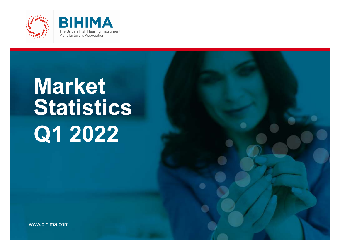



## Market Statistics Q1 2022

The Voice of Hearing Technology.

www.bihima.com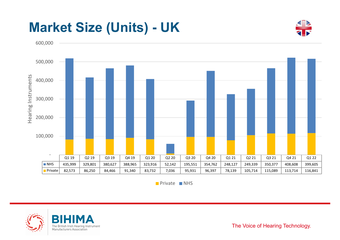

**Private NHS** 



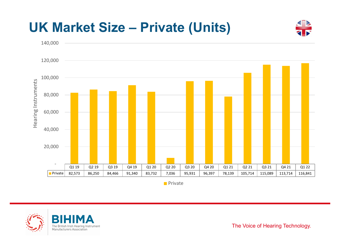# UK Market Size – Private (Units) 80,000 100,000 120,000 140,000



**Private** 



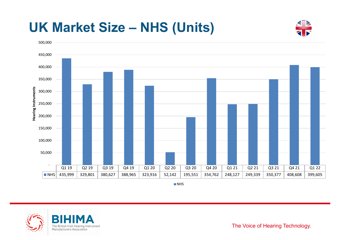

**NHS** 



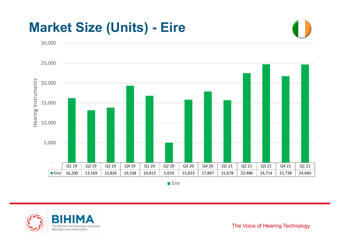

**Eire** 



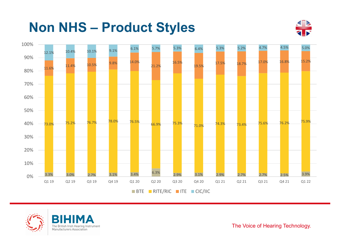





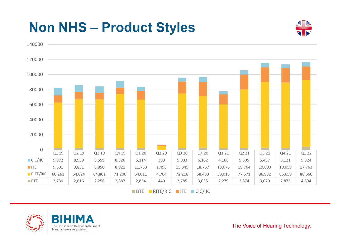

 $BTE$  RITE/RIC ITE CIC/IIC



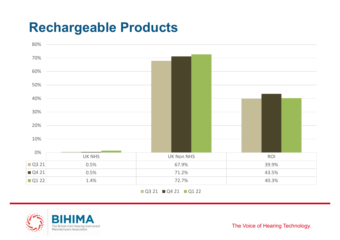### Rechargeable Products



Q3 21 Q4 21 Q1 22



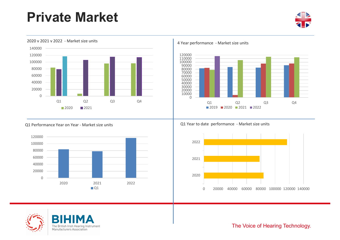### Private Market













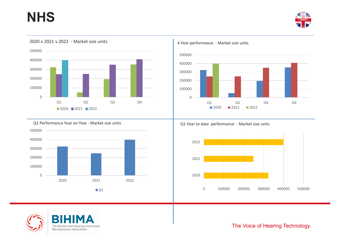### **NHS**